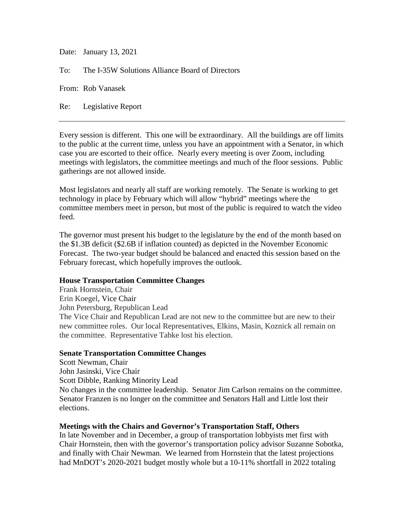Date: January 13, 2021

To: The I-35W Solutions Alliance Board of Directors

From: Rob Vanasek

Re: Legislative Report

Every session is different. This one will be extraordinary. All the buildings are off limits to the public at the current time, unless you have an appointment with a Senator, in which case you are escorted to their office. Nearly every meeting is over Zoom, including meetings with legislators, the committee meetings and much of the floor sessions. Public gatherings are not allowed inside.

Most legislators and nearly all staff are working remotely. The Senate is working to get technology in place by February which will allow "hybrid" meetings where the committee members meet in person, but most of the public is required to watch the video feed.

The governor must present his budget to the legislature by the end of the month based on the \$1.3B deficit (\$2.6B if inflation counted) as depicted in the November Economic Forecast. The two-year budget should be balanced and enacted this session based on the February forecast, which hopefully improves the outlook.

## **House Transportation Committee Changes**

Frank Hornstein, Chair Erin Koegel, Vice Chair John Petersburg, Republican Lead The Vice Chair and Republican Lead are not new to the committee but are new to their new committee roles. Our local Representatives, Elkins, Masin, Koznick all remain on the committee. Representative Tabke lost his election.

## **Senate Transportation Committee Changes**

Scott Newman, Chair John Jasinski, Vice Chair Scott Dibble, Ranking Minority Lead No changes in the committee leadership. Senator Jim Carlson remains on the committee. Senator Franzen is no longer on the committee and Senators Hall and Little lost their elections.

## **Meetings with the Chairs and Governor's Transportation Staff, Others**

In late November and in December, a group of transportation lobbyists met first with Chair Hornstein, then with the governor's transportation policy advisor Suzanne Sobotka, and finally with Chair Newman. We learned from Hornstein that the latest projections had MnDOT's 2020-2021 budget mostly whole but a 10-11% shortfall in 2022 totaling